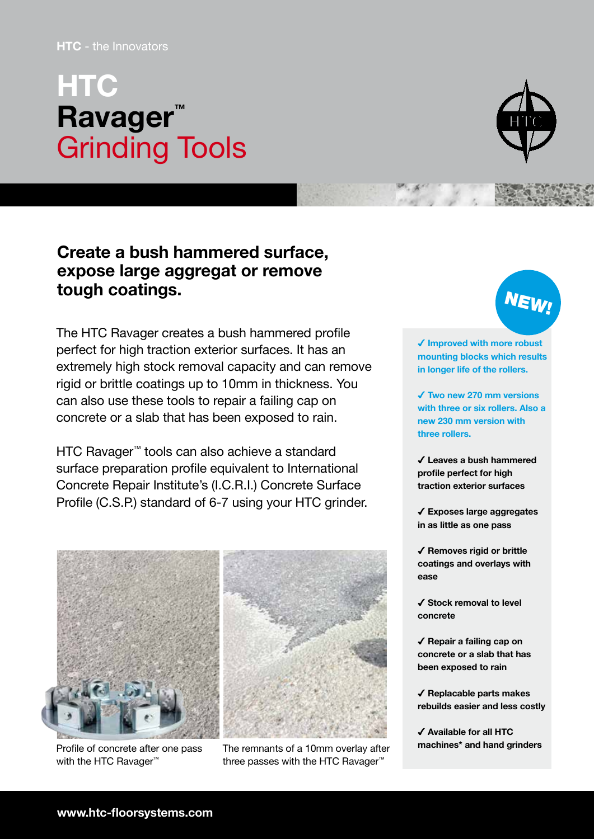## HTC - the Innovators

## **HTC Ravager**<sup>™</sup> Grinding Tools



## Create a bush hammered surface, expose large aggregat or remove tough coatings.

The HTC Ravager creates a bush hammered profile perfect for high traction exterior surfaces. It has an extremely high stock removal capacity and can remove rigid or brittle coatings up to 10mm in thickness. You can also use these tools to repair a failing cap on concrete or a slab that has been exposed to rain.

HTC Ravager™ tools can also achieve a standard surface preparation profile equivalent to International Concrete Repair Institute's (I.C.R.I.) Concrete Surface Profile (C.S.P.) standard of 6-7 using your HTC grinder.



with the HTC Ravager<sup>™</sup>



Profile of concrete after one pass The remnants of a 10mm overlay after **machines\*** and hand grinders three passes with the HTC Ravager™



✔ Improved with more robust mounting blocks which results in longer life of the rollers.

✔ Two new 270 mm versions with three or six rollers. Also a new 230 mm version with three rollers.

✔ Leaves a bush hammered profile perfect for high traction exterior surfaces

✔ Exposes large aggregates in as little as one pass

✔ Removes rigid or brittle coatings and overlays with ease

✔ Stock removal to level concrete

✔ Repair a failing cap on concrete or a slab that has been exposed to rain

✔ Replacable parts makes rebuilds easier and less costly

✔ Available for all HTC